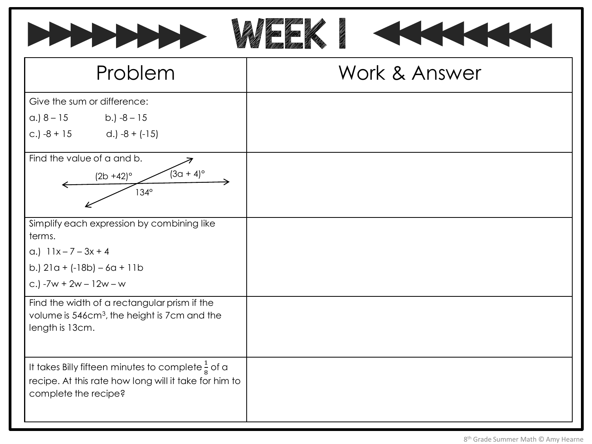





| Problem                                                                                                                                        | Work & Answer |
|------------------------------------------------------------------------------------------------------------------------------------------------|---------------|
| Give the sum or difference:                                                                                                                    |               |
| a.) $8 - 15$ b.) $-8 - 15$                                                                                                                     |               |
| c.) $-8 + 15$ d.) $-8 + (-15)$                                                                                                                 |               |
| Find the value of a and b.<br>$(3a + 4)°$<br>$(2b + 42)°$<br>$134^\circ$                                                                       |               |
| Simplify each expression by combining like                                                                                                     |               |
| terms.                                                                                                                                         |               |
| a.) $11x - 7 - 3x + 4$                                                                                                                         |               |
| b.) $21a + (-18b) - 6a + 11b$                                                                                                                  |               |
| c.) $-7w + 2w - 12w - w$                                                                                                                       |               |
| Find the width of a rectangular prism if the<br>volume is 546cm <sup>3</sup> , the height is 7cm and the<br>length is 13cm.                    |               |
| It takes Billy fifteen minutes to complete $\frac{1}{8}$ of a<br>recipe. At this rate how long will it take for him to<br>complete the recipe? |               |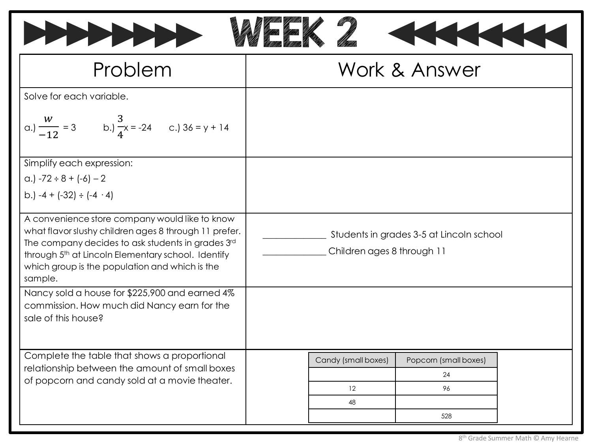| Problem                                                                                                                                                                                                                                                                                     |                            | Work & Answer                            |  |
|---------------------------------------------------------------------------------------------------------------------------------------------------------------------------------------------------------------------------------------------------------------------------------------------|----------------------------|------------------------------------------|--|
| Solve for each variable.                                                                                                                                                                                                                                                                    |                            |                                          |  |
| a.) $\frac{W}{-12}$ = 3 b.) $\frac{3}{4}$ x = -24 c.) 36 = y + 14                                                                                                                                                                                                                           |                            |                                          |  |
| Simplify each expression:                                                                                                                                                                                                                                                                   |                            |                                          |  |
| a.) $-72 \div 8 + (-6) - 2$                                                                                                                                                                                                                                                                 |                            |                                          |  |
| b.) $-4 + (-32) \div (-4 \cdot 4)$                                                                                                                                                                                                                                                          |                            |                                          |  |
| A convenience store company would like to know<br>what flavor slushy children ages 8 through 11 prefer.<br>The company decides to ask students in grades 3rd<br>through 5 <sup>th</sup> at Lincoln Elementary school. Identify<br>which group is the population and which is the<br>sample. | Children ages 8 through 11 | Students in grades 3-5 at Lincoln school |  |
| Nancy sold a house for \$225,900 and earned 4%<br>commission. How much did Nancy earn for the<br>sale of this house?                                                                                                                                                                        |                            |                                          |  |
| Complete the table that shows a proportional                                                                                                                                                                                                                                                | Candy (small boxes)        | Popcorn (small boxes)                    |  |
| relationship between the amount of small boxes<br>of popcorn and candy sold at a movie theater.                                                                                                                                                                                             |                            | 24                                       |  |
|                                                                                                                                                                                                                                                                                             | 12                         | 96                                       |  |
|                                                                                                                                                                                                                                                                                             | 48                         |                                          |  |
|                                                                                                                                                                                                                                                                                             |                            | 528                                      |  |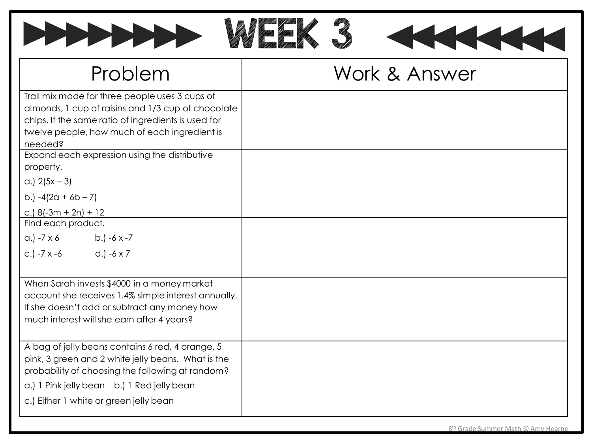





| Problem                                                                                                                                                                                                                                            | Work & Answer |
|----------------------------------------------------------------------------------------------------------------------------------------------------------------------------------------------------------------------------------------------------|---------------|
| Trail mix made for three people uses 3 cups of<br>almonds, 1 cup of raisins and 1/3 cup of chocolate<br>chips. If the same ratio of ingredients is used for<br>twelve people, how much of each ingredient is<br>needed?                            |               |
| Expand each expression using the distributive<br>property.<br>a.) $2(5x - 3)$                                                                                                                                                                      |               |
| b.) $-4(2a + 6b - 7)$<br>c.) $8(-3m + 2n) + 12$                                                                                                                                                                                                    |               |
| Find each product.<br>a.) $-7 \times 6$ b.) $-6 \times -7$<br>c.) $-7x-6$ d.) $-6x7$                                                                                                                                                               |               |
| When Sarah invests \$4000 in a money market<br>account she receives 1.4% simple interest annually.<br>If she doesn't add or subtract any money how<br>much interest will she earn after 4 years?                                                   |               |
| A bag of jelly beans contains 6 red, 4 orange, 5<br>pink, 3 green and 2 white jelly beans. What is the<br>probability of choosing the following at random?<br>a.) 1 Pink jelly bean b.) 1 Red jelly bean<br>c.) Either 1 white or green jelly bean |               |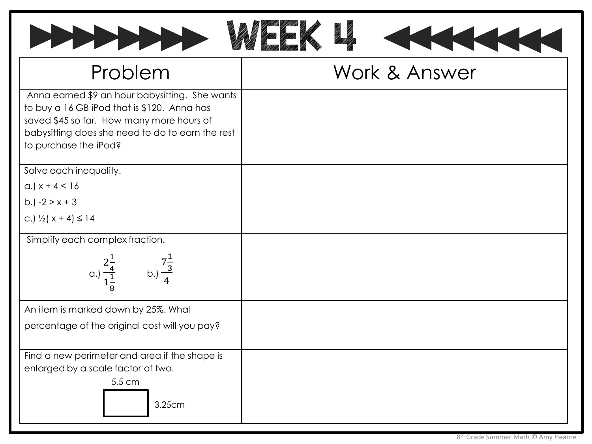| <b>NALLALLE</b>          |  |
|--------------------------|--|
| <b>THE REAL PROPERTY</b> |  |



WEE VAN DIE

**THE REAL**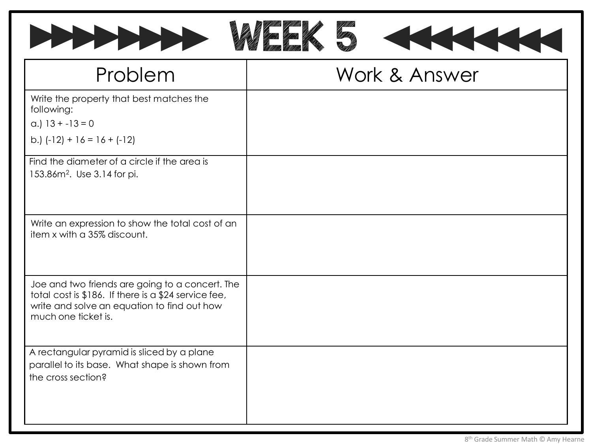





| Problem                                                                                                                                                                       | Work & Answer |
|-------------------------------------------------------------------------------------------------------------------------------------------------------------------------------|---------------|
| Write the property that best matches the<br>following:                                                                                                                        |               |
| a.) $13 + -13 = 0$<br>b.) $(-12) + 16 = 16 + (-12)$                                                                                                                           |               |
| Find the diameter of a circle if the area is<br>153.86m <sup>2</sup> . Use 3.14 for pi.                                                                                       |               |
| Write an expression to show the total cost of an<br>item x with a 35% discount.                                                                                               |               |
| Joe and two friends are going to a concert. The<br>total cost is \$186. If there is a \$24 service fee,<br>write and solve an equation to find out how<br>much one ticket is. |               |
| A rectangular pyramid is sliced by a plane<br>parallel to its base. What shape is shown from<br>the cross section?                                                            |               |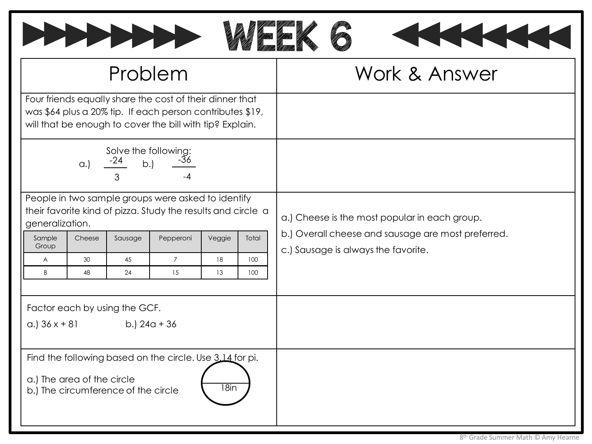





| Problem                                                                                                                                                                           | Work & Answer                                                                             |
|-----------------------------------------------------------------------------------------------------------------------------------------------------------------------------------|-------------------------------------------------------------------------------------------|
| Four friends equally share the cost of their dinner that<br>was \$64 plus a 20% tip. If each person contributes \$19,<br>will that be enough to cover the bill with tip? Explain. |                                                                                           |
| Solve the following:<br>$-24$<br>b.<br>$\alpha$ .)<br>$-4$<br>3                                                                                                                   |                                                                                           |
| People in two sample groups were asked to identify<br>their favorite kind of pizza. Study the results and circle a<br>generalization.                                             | a.) Cheese is the most popular in each group.                                             |
| Sample<br>Pepperoni<br>Total<br>Cheese<br>Sausage<br>Veggie<br>Group                                                                                                              | b.) Overall cheese and sausage are most preferred.<br>c.) Sausage is always the favorite. |
| 30<br>45<br>$\overline{7}$<br>18<br>$\overline{A}$<br>100<br>B<br>48<br>24<br>15<br>13<br>100                                                                                     |                                                                                           |
| Factor each by using the GCF.<br>b.) $24a + 36$<br>a.) $36x + 81$                                                                                                                 |                                                                                           |
| Find the following based on the circle. Use 3.14 for pi.<br>a.) The area of the circle<br>18in<br>b.) The circumference of the circle                                             |                                                                                           |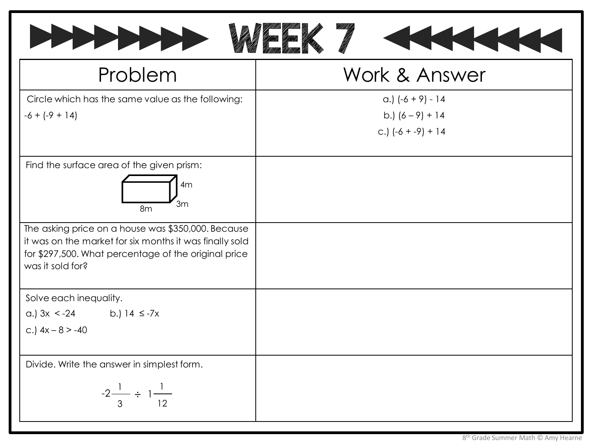| Problem                                                                                                                                                                                   | Work & Answer                                                   |
|-------------------------------------------------------------------------------------------------------------------------------------------------------------------------------------------|-----------------------------------------------------------------|
| Circle which has the same value as the following:<br>$-6 + (-9 + 14)$                                                                                                                     | a.) $(-6 + 9) - 14$<br>b.) $(6-9) + 14$<br>c.) $(-6 + -9) + 14$ |
| Find the surface area of the given prism:<br>4m<br>3m<br>8 <sub>m</sub>                                                                                                                   |                                                                 |
| The asking price on a house was \$350,000. Because<br>it was on the market for six months it was finally sold<br>for \$297,500. What percentage of the original price<br>was it sold for? |                                                                 |
| Solve each inequality.<br>a.) $3x < -24$ b.) $14 \le -7x$<br>c.) $4x - 8 > -40$                                                                                                           |                                                                 |
| Divide. Write the answer in simplest form.<br>$-2\frac{1}{3} \div 1\frac{1}{12}$                                                                                                          |                                                                 |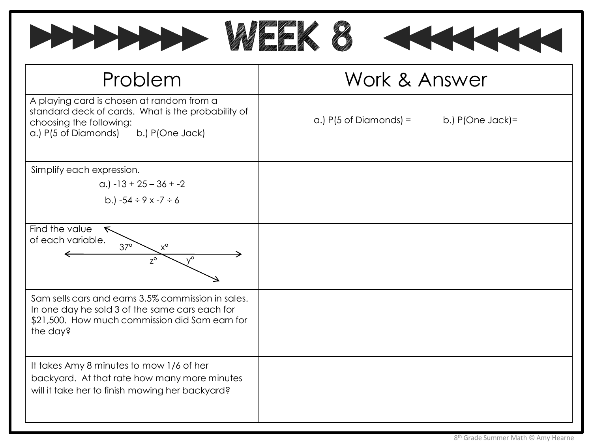

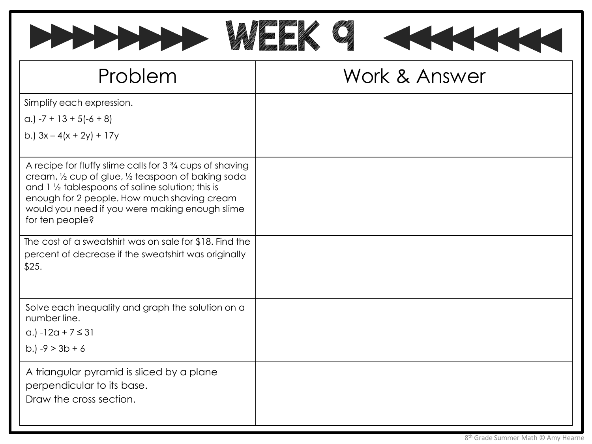



**THE REAL PROPERTY**